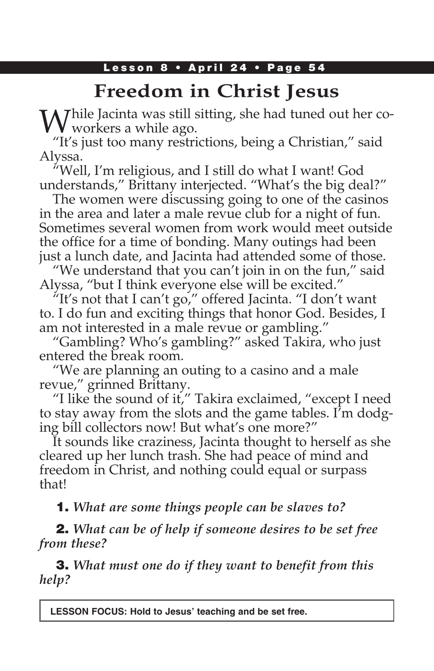### Lesson 8 • April 24 • Page 54

# **Freedom in Christ Jesus**

While Jacinta was still sitting, she had tuned out her co-<br>workers a while ago.

"It's just too many restrictions, being a Christian," said Alyssa.

"Well, I'm religious, and I still do what I want! God understands," Brittany interjected. "What's the big deal?"

The women were discussing going to one of the casinos in the area and later a male revue club for a night of fun. Sometimes several women from work would meet outside the office for a time of bonding. Many outings had been just a lunch date, and Jacinta had attended some of those.

"We understand that you can't join in on the fun," said Alyssa, "but I think everyone else will be excited."

"It's not that I can't go," offered Jacinta. "I don't want to. I do fun and exciting things that honor God. Besides, I am not interested in a male revue or gambling."

"Gambling? Who's gambling?" asked Takira, who just entered the break room.

"We are planning an outing to a casino and a male revue," grinned Brittany.

"I like the sound of it," Takira exclaimed, "except I need to stay away from the slots and the game tables. I'm dodging bill collectors now! But what's one more?"

It sounds like craziness, Jacinta thought to herself as she cleared up her lunch trash. She had peace of mind and freedom in Christ, and nothing could equal or surpass that!

1. *What are some things people can be slaves to?*

2. *What can be of help if someone desires to be set free from these?*

3. *What must one do if they want to benefit from this help?*

**LESSON FOCUS: Hold to Jesus' teaching and be set free.**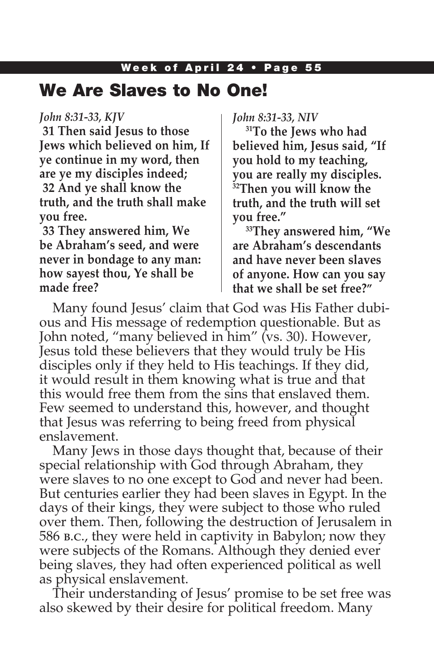### We Are Slaves to No One!

#### *John 8:31-33, KJV*

**31 Then said Jesus to those Jews which believed on him, If ye continue in my word, then are ye my disciples indeed; 32 And ye shall know the truth, and the truth shall make you free.**

**33 They answered him, We be Abraham's seed, and were never in bondage to any man: how sayest thou, Ye shall be made free?**

*John 8:31-33, NIV*

**31To the Jews who had believed him, Jesus said, "If you hold to my teaching, you are really my disciples. 32Then you will know the truth, and the truth will set you free."**

**33They answered him, "We are Abraham's descendants and have never been slaves of anyone. How can you say that we shall be set free?"**

Many found Jesus' claim that God was His Father dubious and His message of redemption questionable. But as John noted, "many believed in him" (vs. 30). However, Jesus told these believers that they would truly be His disciples only if they held to His teachings. If they did, it would result in them knowing what is true and that this would free them from the sins that enslaved them. Few seemed to understand this, however, and thought that Jesus was referring to being freed from physical enslavement.

Many Jews in those days thought that, because of their special relationship with God through Abraham, they were slaves to no one except to God and never had been. But centuries earlier they had been slaves in Egypt. In the days of their kings, they were subject to those who ruled over them. Then, following the destruction of Jerusalem in 586 b.c., they were held in captivity in Babylon; now they were subjects of the Romans. Although they denied ever being slaves, they had often experienced political as well as physical enslavement.

Their understanding of Jesus' promise to be set free was also skewed by their desire for political freedom. Many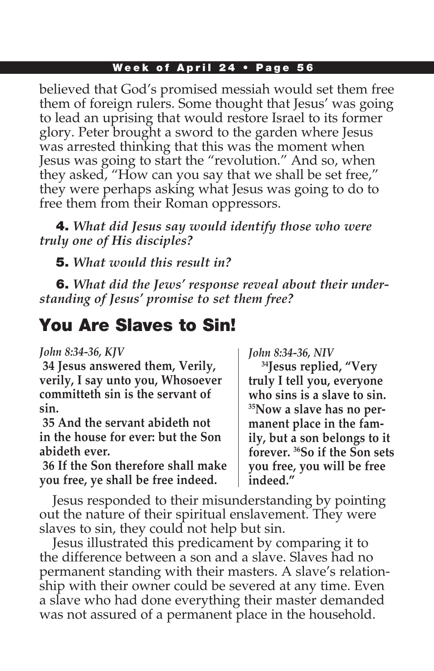believed that God's promised messiah would set them free them of foreign rulers. Some thought that Jesus' was going to lead an uprising that would restore Israel to its former glory. Peter brought a sword to the garden where Jesus was arrested thinking that this was the moment when Jesus was going to start the "revolution." And so, when they asked, "How can you say that we shall be set free," they were perhaps asking what Jesus was going to do to free them from their Roman oppressors.

4. *What did Jesus say would identify those who were truly one of His disciples?*

5. *What would this result in?*

6. *What did the Jews' response reveal about their understanding of Jesus' promise to set them free?*

## You Are Slaves to Sin!

#### *John 8:34-36, KJV*

**34 Jesus answered them, Verily, verily, I say unto you, Whosoever committeth sin is the servant of sin.**

**35 And the servant abideth not in the house for ever: but the Son abideth ever.**

**36 If the Son therefore shall make you free, ye shall be free indeed.**

*John 8:34-36, NIV*

**34Jesus replied, "Very truly I tell you, everyone who sins is a slave to sin. 35Now a slave has no permanent place in the family, but a son belongs to it forever. 36So if the Son sets you free, you will be free indeed."** 

Jesus responded to their misunderstanding by pointing out the nature of their spiritual enslavement. They were slaves to sin, they could not help but sin.

Jesus illustrated this predicament by comparing it to the difference between a son and a slave. Slaves had no permanent standing with their masters. A slave's relationship with their owner could be severed at any time. Even a slave who had done everything their master demanded was not assured of a permanent place in the household.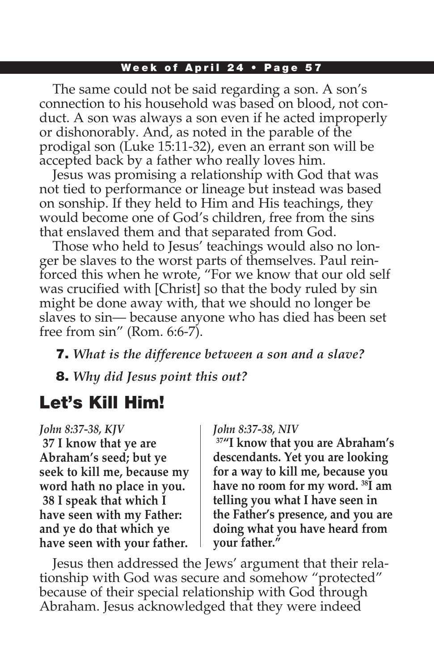The same could not be said regarding a son. A son's connection to his household was based on blood, not conduct. A son was always a son even if he acted improperly or dishonorably. And, as noted in the parable of the prodigal son (Luke 15:11-32), even an errant son will be accepted back by a father who really loves him.

Jesus was promising a relationship with God that was not tied to performance or lineage but instead was based on sonship. If they held to Him and His teachings, they would become one of God's children, free from the sins that enslaved them and that separated from God.

Those who held to Jesus' teachings would also no longer be slaves to the worst parts of themselves. Paul reinforced this when he wrote, "For we know that our old self was crucified with [Christ] so that the body ruled by sin might be done away with, that we should no longer be slaves to sin— because anyone who has died has been set free from sin" (Rom. 6:6-7).

7. *What is the difference between a son and a slave?*

8. *Why did Jesus point this out?*

# Let's Kill Him!

*John 8:37-38, KJV* **37 I know that ye are Abraham's seed; but ye seek to kill me, because my word hath no place in you. 38 I speak that which I have seen with my Father: and ye do that which ye have seen with your father.**

#### *John 8:37-38, NIV*

**37"I know that you are Abraham's descendants. Yet you are looking for a way to kill me, because you have no room for my word. 38I am telling you what I have seen in the Father's presence, and you are doing what you have heard from your father."**

Jesus then addressed the Jews' argument that their relationship with God was secure and somehow "protected" because of their special relationship with God through Abraham. Jesus acknowledged that they were indeed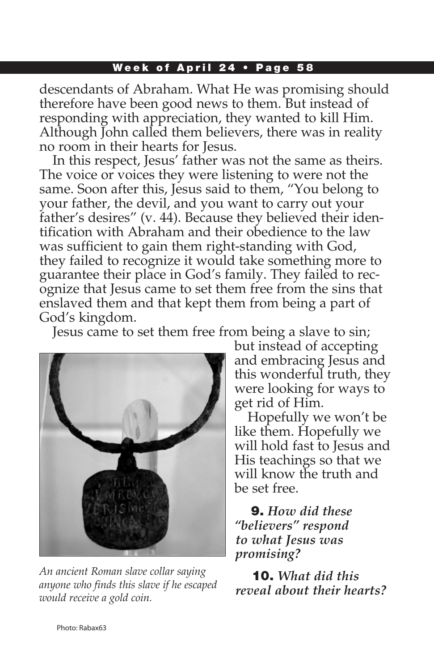descendants of Abraham. What He was promising should therefore have been good news to them. But instead of responding with appreciation, they wanted to kill Him. Although John called them believers, there was in reality no room in their hearts for Jesus.

In this respect, Jesus' father was not the same as theirs. The voice or voices they were listening to were not the same. Soon after this, Jesus said to them, "You belong to your father, the devil, and you want to carry out your father's desires" (v. 44). Because they believed their identification with Abraham and their obedience to the law was sufficient to gain them right-standing with God, they failed to recognize it would take something more to guarantee their place in God's family. They failed to recognize that Jesus came to set them free from the sins that enslaved them and that kept them from being a part of God's kingdom.

Jesus came to set them free from being a slave to sin;



*An ancient Roman slave collar saying anyone who finds this slave if he escaped would receive a gold coin.*

but instead of accepting and embracing Jesus and this wonderful truth, they were looking for ways to get rid of Him.

Hopefully we won't be like them. Hopefully we will hold fast to Jesus and His teachings so that we will know the truth and be set free.

9. *How did these "believers" respond to what Jesus was promising?* 

10. *What did this reveal about their hearts?*

Photo: Rabax63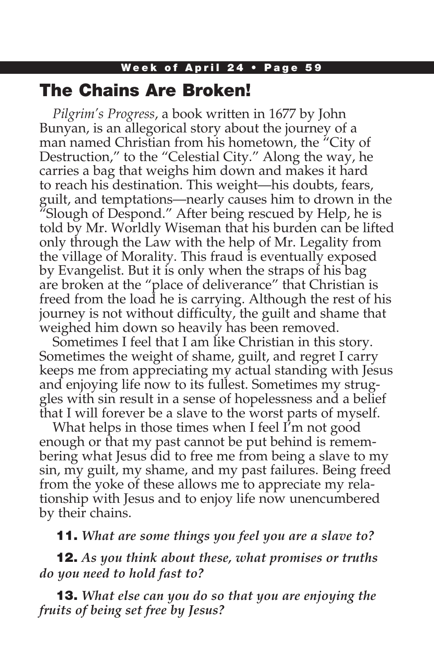### The Chains Are Broken!

*Pilgrim's Progress*, a book written in 1677 by John Bunyan, is an allegorical story about the journey of a man named Christian from his hometown, the "City of Destruction," to the "Celestial City." Along the way, he carries a bag that weighs him down and makes it hard to reach his destination. This weight—his doubts, fears, guilt, and temptations—nearly causes him to drown in the "Slough of Despond." After being rescued by Help, he is told by Mr. Worldly Wiseman that his burden can be lifted only through the Law with the help of Mr. Legality from the village of Morality. This fraud is eventually exposed by Evangelist. But it is only when the straps of his bag are broken at the "place of deliverance" that Christian is freed from the load he is carrying. Although the rest of his journey is not without difficulty, the guilt and shame that weighed him down so heavily has been removed.

Sometimes I feel that I am like Christian in this story. Sometimes the weight of shame, guilt, and regret I carry keeps me from appreciating my actual standing with Jesus and enjoying life now to its fullest. Sometimes my struggles with sin result in a sense of hopelessness and a belief that I will forever be a slave to the worst parts of myself.

What helps in those times when I feel I'm not good enough or that my past cannot be put behind is remembering what Jesus did to free me from being a slave to my sin, my guilt, my shame, and my past failures. Being freed from the yoke of these allows me to appreciate my relationship with Jesus and to enjoy life now unencumbered by their chains.

11. *What are some things you feel you are a slave to?*

12. *As you think about these, what promises or truths do you need to hold fast to?*

13. *What else can you do so that you are enjoying the fruits of being set free by Jesus?*